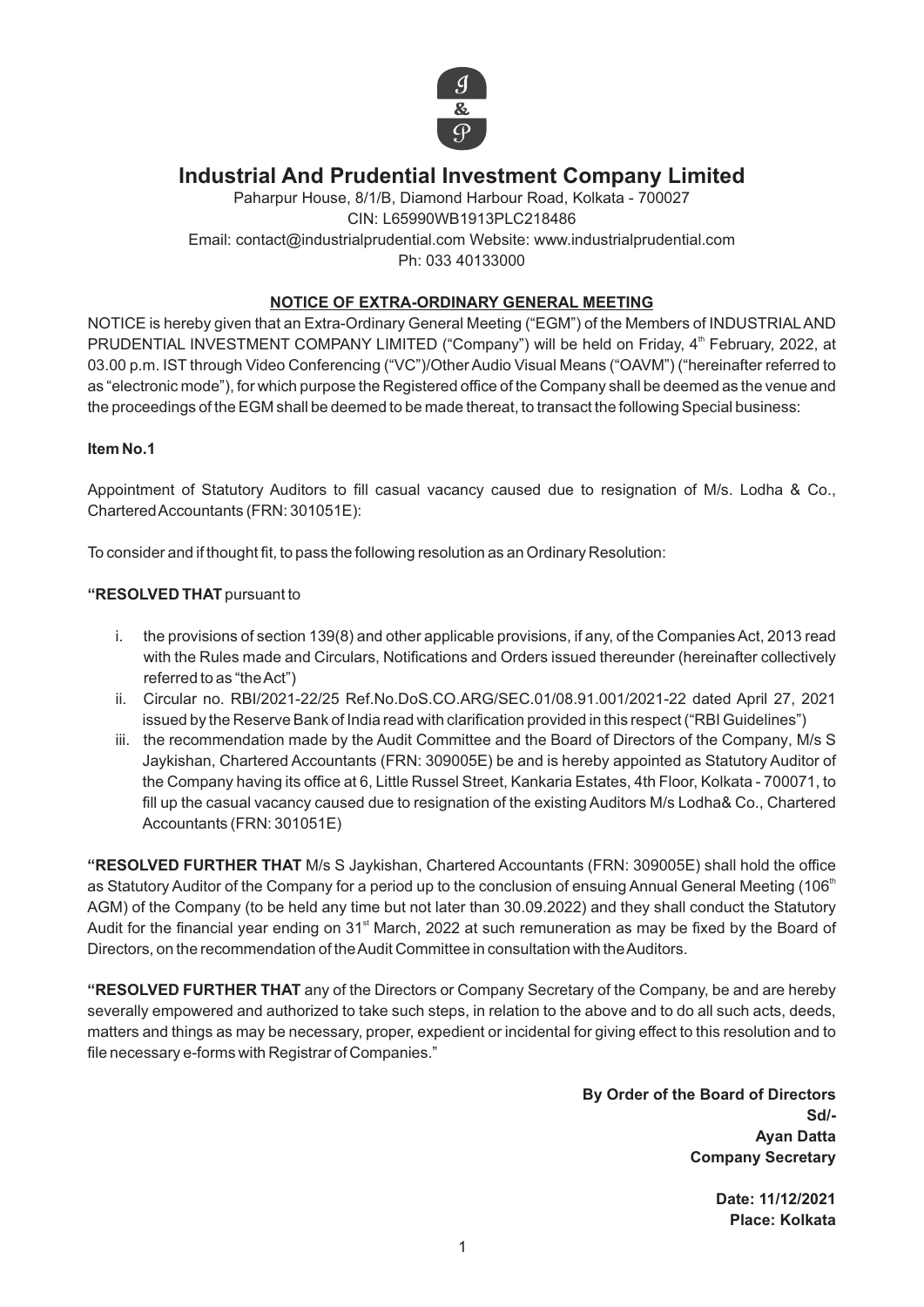

# **Industrial And Prudential Investment Company Limited**

Paharpur House, 8/1/B, Diamond Harbour Road, Kolkata - 700027 CIN: L65990WB1913PLC218486 Email: contact@industrialprudential.com Website: www.industrialprudential.com Ph: 033 40133000

## **NOTICE OF EXTRA-ORDINARY GENERAL MEETING**

NOTICE is hereby given that an Extra-Ordinary General Meeting ("EGM") of the Members of INDUSTRIALAND PRUDENTIAL INVESTMENT COMPANY LIMITED ("Company") will be held on Friday, 4<sup>th</sup> February, 2022, at 03.00 p.m. IST through Video Conferencing ("VC")/Other Audio Visual Means ("OAVM") ("hereinafter referred to as "electronic mode"), for which purpose the Registered office of the Company shall be deemed as the venue and the proceedings of the EGM shall be deemed to be made thereat, to transact the following Special business:

#### **Item No.1**

Appointment of Statutory Auditors to fill casual vacancy caused due to resignation of M/s. Lodha & Co., Chartered Accountants (FRN: 301051E):

To consider and if thought fit, to pass the following resolution as an Ordinary Resolution:

### **"RESOLVED THAT** pursuant to

- i. the provisions of section 139(8) and other applicable provisions, if any, of the Companies Act, 2013 read with the Rules made and Circulars, Notifications and Orders issued thereunder (hereinafter collectively referred to as "the Act")
- ii. Circular no. RBI/2021-22/25 Ref.No.DoS.CO.ARG/SEC.01/08.91.001/2021-22 dated April 27, 2021 issued by the Reserve Bank of India read with clarification provided in this respect ("RBI Guidelines")
- iii. the recommendation made by the Audit Committee and the Board of Directors of the Company, M/s S Jaykishan, Chartered Accountants (FRN: 309005E) be and is hereby appointed as Statutory Auditor of the Company having its office at 6, Little Russel Street, Kankaria Estates, 4th Floor, Kolkata - 700071, to fill up the casual vacancy caused due to resignation of the existing Auditors M/s Lodha& Co., Chartered Accountants (FRN: 301051E)

**"RESOLVED FURTHER THAT** M/s S Jaykishan, Chartered Accountants (FRN: 309005E) shall hold the office as Statutory Auditor of the Company for a period up to the conclusion of ensuing Annual General Meeting (106<sup>th</sup> AGM) of the Company (to be held any time but not later than 30.09.2022) and they shall conduct the Statutory Audit for the financial year ending on 31<sup>st</sup> March, 2022 at such remuneration as may be fixed by the Board of Directors, on the recommendation of the Audit Committee in consultation with the Auditors.

**"RESOLVED FURTHER THAT** any of the Directors or Company Secretary of the Company, be and are hereby severally empowered and authorized to take such steps, in relation to the above and to do all such acts, deeds, matters and things as may be necessary, proper, expedient or incidental for giving effect to this resolution and to file necessary e-forms with Registrar of Companies."

> **By Order of the Board of Directors Sd/- Ayan Datta Company Secretary**

> > **Date: 11/12/2021 Place: Kolkata**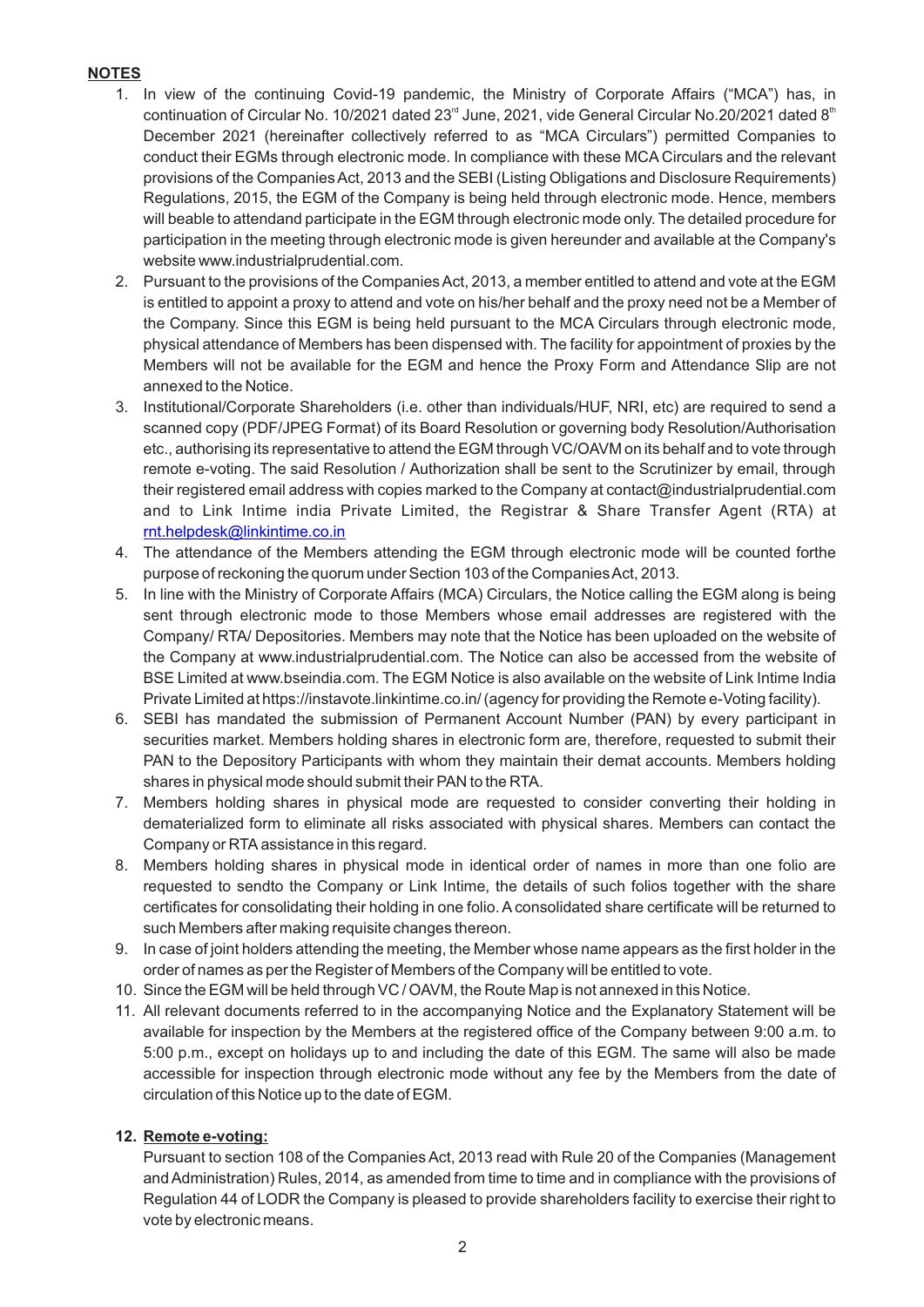# **NOTES**

- 1. In view of the continuing Covid-19 pandemic, the Ministry of Corporate Affairs ("MCA") has, in continuation of Circular No. 10/2021 dated 23<sup>rd</sup> June, 2021, vide General Circular No.20/2021 dated 8<sup>th</sup> December 2021 (hereinafter collectively referred to as "MCA Circulars") permitted Companies to conduct their EGMs through electronic mode. In compliance with these MCA Circulars and the relevant provisions of the Companies Act, 2013 and the SEBI (Listing Obligations and Disclosure Requirements) Regulations, 2015, the EGM of the Company is being held through electronic mode. Hence, members will beable to attendand participate in the EGM through electronic mode only. The detailed procedure for participation in the meeting through electronic mode is given hereunder and available at the Company's website www.industrialprudential.com.
- 2. Pursuant to the provisions of the Companies Act, 2013, a member entitled to attend and vote at the EGM is entitled to appoint a proxy to attend and vote on his/her behalf and the proxy need not be a Member of the Company. Since this EGM is being held pursuant to the MCA Circulars through electronic mode, physical attendance of Members has been dispensed with. The facility for appointment of proxies by the Members will not be available for the EGM and hence the Proxy Form and Attendance Slip are not annexed to the Notice.
- 3. Institutional/Corporate Shareholders (i.e. other than individuals/HUF, NRI, etc) are required to send a scanned copy (PDF/JPEG Format) of its Board Resolution or governing body Resolution/Authorisation etc., authorising its representative to attend the EGM through VC/OAVM on its behalf and to vote through remote e-voting. The said Resolution / Authorization shall be sent to the Scrutinizer by email, through their registered email address with copies marked to the Company at contact@industrialprudential.com and to Link Intime india Private Limited, the Registrar & Share Transfer Agent (RTA) at [rnt.helpdesk@linkintime.co.in](about:blank)
- 4. The attendance of the Members attending the EGM through electronic mode will be counted forthe purpose of reckoning the quorum under Section 103 of the Companies Act, 2013.
- 5. In line with the Ministry of Corporate Affairs (MCA) Circulars, the Notice calling the EGM along is being sent through electronic mode to those Members whose email addresses are registered with the Company/ RTA/ Depositories. Members may note that the Notice has been uploaded on the website of the Company at www.industrialprudential.com. The Notice can also be accessed from the website of BSE Limited at www.bseindia.com. The EGM Notice is also available on the website of Link Intime India Private Limited at https://instavote.linkintime.co.in/ (agency for providing the Remote e-Voting facility).
- 6. SEBI has mandated the submission of Permanent Account Number (PAN) by every participant in securities market. Members holding shares in electronic form are, therefore, requested to submit their PAN to the Depository Participants with whom they maintain their demat accounts. Members holding shares in physical mode should submit their PAN to the RTA.
- 7. Members holding shares in physical mode are requested to consider converting their holding in dematerialized form to eliminate all risks associated with physical shares. Members can contact the Company or RTA assistance in this regard.
- 8. Members holding shares in physical mode in identical order of names in more than one folio are requested to sendto the Company or Link Intime, the details of such folios together with the share certificates for consolidating their holding in one folio. Aconsolidated share certificate will be returned to such Members after making requisite changes thereon.
- 9. In case of joint holders attending the meeting, the Member whose name appears as the first holder in the order of names as per the Register of Members of the Company will be entitled to vote.
- 10. Since the EGM will be held through VC / OAVM, the Route Map is not annexed in this Notice.
- 11. All relevant documents referred to in the accompanying Notice and the Explanatory Statement will be available for inspection by the Members at the registered office of the Company between 9:00 a.m. to 5:00 p.m., except on holidays up to and including the date of this EGM. The same will also be made accessible for inspection through electronic mode without any fee by the Members from the date of circulation of this Notice up to the date of EGM.

#### **12. Remote e-voting:**

Pursuant to section 108 of the Companies Act, 2013 read with Rule 20 of the Companies (Management and Administration) Rules, 2014, as amended from time to time and in compliance with the provisions of Regulation 44 of LODR the Company is pleased to provide shareholders facility to exercise their right to vote by electronic means.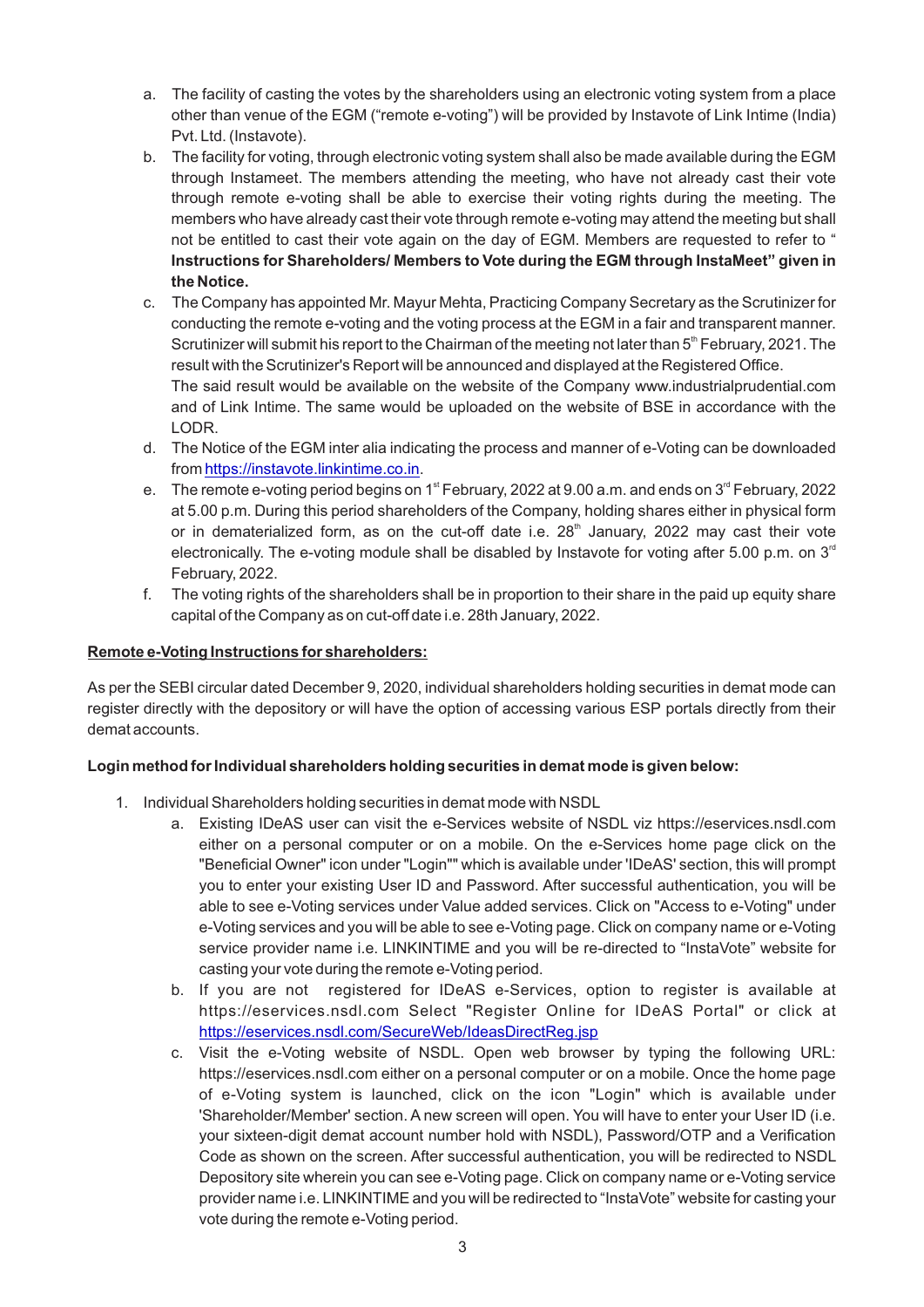- a. The facility of casting the votes by the shareholders using an electronic voting system from a place other than venue of the EGM ("remote e-voting") will be provided by Instavote of Link Intime (India) Pvt. Ltd. (Instavote).
- b. The facility for voting, through electronic voting system shall also be made available during the EGM through Instameet. The members attending the meeting, who have not already cast their vote through remote e-voting shall be able to exercise their voting rights during the meeting. The members who have already cast their vote through remote e-voting may attend the meeting but shall not be entitled to cast their vote again on the day of EGM. Members are requested to refer to " **Instructions for Shareholders/ Members to Vote during the EGM through InstaMeet" given in the Notice.**
- c. The Company has appointed Mr. Mayur Mehta, Practicing Company Secretary as the Scrutinizer for conducting the remote e-voting and the voting process at the EGM in a fair and transparent manner. Scrutinizer will submit his report to the Chairman of the meeting not later than  $5<sup>th</sup>$  February, 2021. The result with the Scrutinizer's Report will be announced and displayed at the Registered Office. The said result would be available on the website of the Company www.industrialprudential.com and of Link Intime. The same would be uploaded on the website of BSE in accordance with the LODR.
- d. The Notice of the EGM inter alia indicating the process and manner of e-Voting can be downloaded from [https://instavote.linkintime.co.in](about:blank).
- e. The remote e-voting period begins on 1<sup>st</sup> February, 2022 at 9.00 a.m. and ends on 3<sup>rd</sup> February, 2022 at 5.00 p.m. During this period shareholders of the Company, holding shares either in physical form or in dematerialized form, as on the cut-off date i.e. 28<sup>th</sup> January, 2022 may cast their vote electronically. The e-voting module shall be disabled by Instavote for voting after 5.00 p.m. on  $3<sup>rd</sup>$ February, 2022.
- f. The voting rights of the shareholders shall be in proportion to their share in the paid up equity share capital of the Company as on cut-off date i.e. 28th January, 2022.

### **Remote e-Voting Instructions for shareholders:**

As per the SEBI circular dated December 9, 2020, individual shareholders holding securities in demat mode can register directly with the depository or will have the option of accessing various ESP portals directly from their demat accounts.

#### **Login method for Individual shareholders holding securities in demat mode is given below:**

- 1. Individual Shareholders holding securities in demat mode with NSDL
	- a. Existing IDeAS user can visit the e-Services website of NSDL viz https://eservices.nsdl.com either on a personal computer or on a mobile. On the e-Services home page click on the "Beneficial Owner" icon under "Login"" which is available under 'IDeAS' section, this will prompt you to enter your existing User ID and Password. After successful authentication, you will be able to see e-Voting services under Value added services. Click on "Access to e-Voting" under e-Voting services and you will be able to see e-Voting page. Click on company name or e-Voting service provider name i.e. LINKINTIME and you will be re-directed to "InstaVote" website for casting your vote during the remote e-Voting period.
	- b. If you are not registered for IDeAS e-Services, option to register is available at https://eservices.nsdl.com Select "Register Online for IDeAS Portal" or click at <https://eservices.nsdl.com/SecureWeb/IdeasDirectReg.jsp>
	- c. Visit the e-Voting website of NSDL. Open web browser by typing the following URL: https://eservices.nsdl.com either on a personal computer or on a mobile. Once the home page of e-Voting system is launched, click on the icon "Login" which is available under 'Shareholder/Member' section. A new screen will open. You will have to enter your User ID (i.e. your sixteen-digit demat account number hold with NSDL), Password/OTP and a Verification Code as shown on the screen. After successful authentication, you will be redirected to NSDL Depository site wherein you can see e-Voting page. Click on company name or e-Voting service provider name i.e. LINKINTIME and you will be redirected to "InstaVote" website for casting your vote during the remote e-Voting period.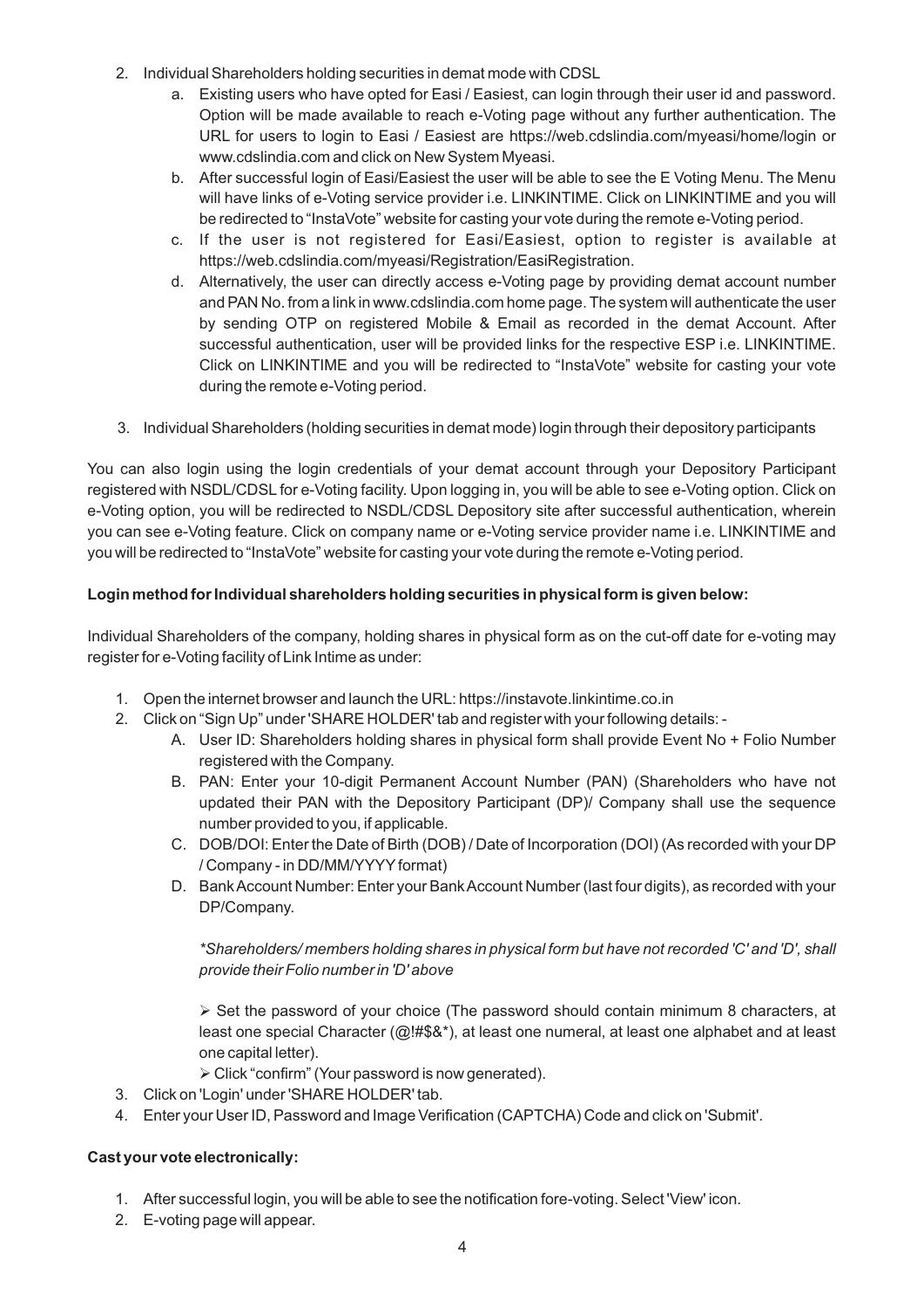- 2. Individual Shareholders holding securities in demat mode with CDSL
	- a. Existing users who have opted for Easi / Easiest, can login through their user id and password. Option will be made available to reach e-Voting page without any further authentication. The URL for users to login to Easi / Easiest are https://web.cdslindia.com/myeasi/home/login or www.cdslindia.com and click on New System Myeasi.
	- b. After successful login of Easi/Easiest the user will be able to see the E Voting Menu. The Menu will have links of e-Voting service provider i.e. LINKINTIME. Click on LINKINTIME and you will be redirected to "InstaVote" website for casting your vote during the remote e-Voting period.
	- c. If the user is not registered for Easi/Easiest, option to register is available at https://web.cdslindia.com/myeasi/Registration/EasiRegistration.
	- d. Alternatively, the user can directly access e-Voting page by providing demat account number and PAN No. from a link in www.cdslindia.com home page. The system will authenticate the user by sending OTP on registered Mobile & Email as recorded in the demat Account. After successful authentication, user will be provided links for the respective ESP i.e. LINKINTIME. Click on LINKINTIME and you will be redirected to "InstaVote" website for casting your vote during the remote e-Voting period.
- 3. Individual Shareholders (holding securities in demat mode) login through their depository participants

You can also login using the login credentials of your demat account through your Depository Participant registered with NSDL/CDSL for e-Voting facility. Upon logging in, you will be able to see e-Voting option. Click on e-Voting option, you will be redirected to NSDL/CDSL Depository site after successful authentication, wherein you can see e-Voting feature. Click on company name or e-Voting service provider name i.e. LINKINTIME and you will be redirected to "InstaVote" website for casting your vote during the remote e-Voting period.

# **Login method for Individual shareholders holding securities in physical form is given below:**

Individual Shareholders of the company, holding shares in physical form as on the cut-off date for e-voting may register for e-Voting facility of Link Intime as under:

- 1. Open the internet browser and launch the URL: https://instavote.linkintime.co.in
- 2. Click on "Sign Up" under 'SHARE HOLDER' tab and register with your following details:
	- A. User ID: Shareholders holding shares in physical form shall provide Event No + Folio Number registered with the Company.
	- B. PAN: Enter your 10-digit Permanent Account Number (PAN) (Shareholders who have not updated their PAN with the Depository Participant (DP)/ Company shall use the sequence number provided to you, if applicable.
	- C. DOB/DOI: Enter the Date of Birth (DOB) / Date of Incorporation (DOI) (As recorded with your DP / Company - in DD/MM/YYYYformat)
	- D. Bank Account Number: Enter your Bank Account Number (last four digits), as recorded with your DP/Company.

*\*Shareholders/ members holding shares in physical form but have not recorded 'C' and 'D', shall provide their Folio number in 'D' above*

 $\triangleright$  Set the password of your choice (The password should contain minimum 8 characters, at least one special Character ( $@!H$ \$&\*), at least one numeral, at least one alphabet and at least one capital letter).

- Ø Click "confirm" (Your password is now generated).
- 3. Click on 'Login' under 'SHARE HOLDER' tab.
- 4. Enter your User ID, Password and Image Verification (CAPTCHA) Code and click on 'Submit'.

#### **Cast your vote electronically:**

- 1. After successful login, you will be able to see the notification fore-voting. Select 'View' icon.
- 2. E-voting page will appear.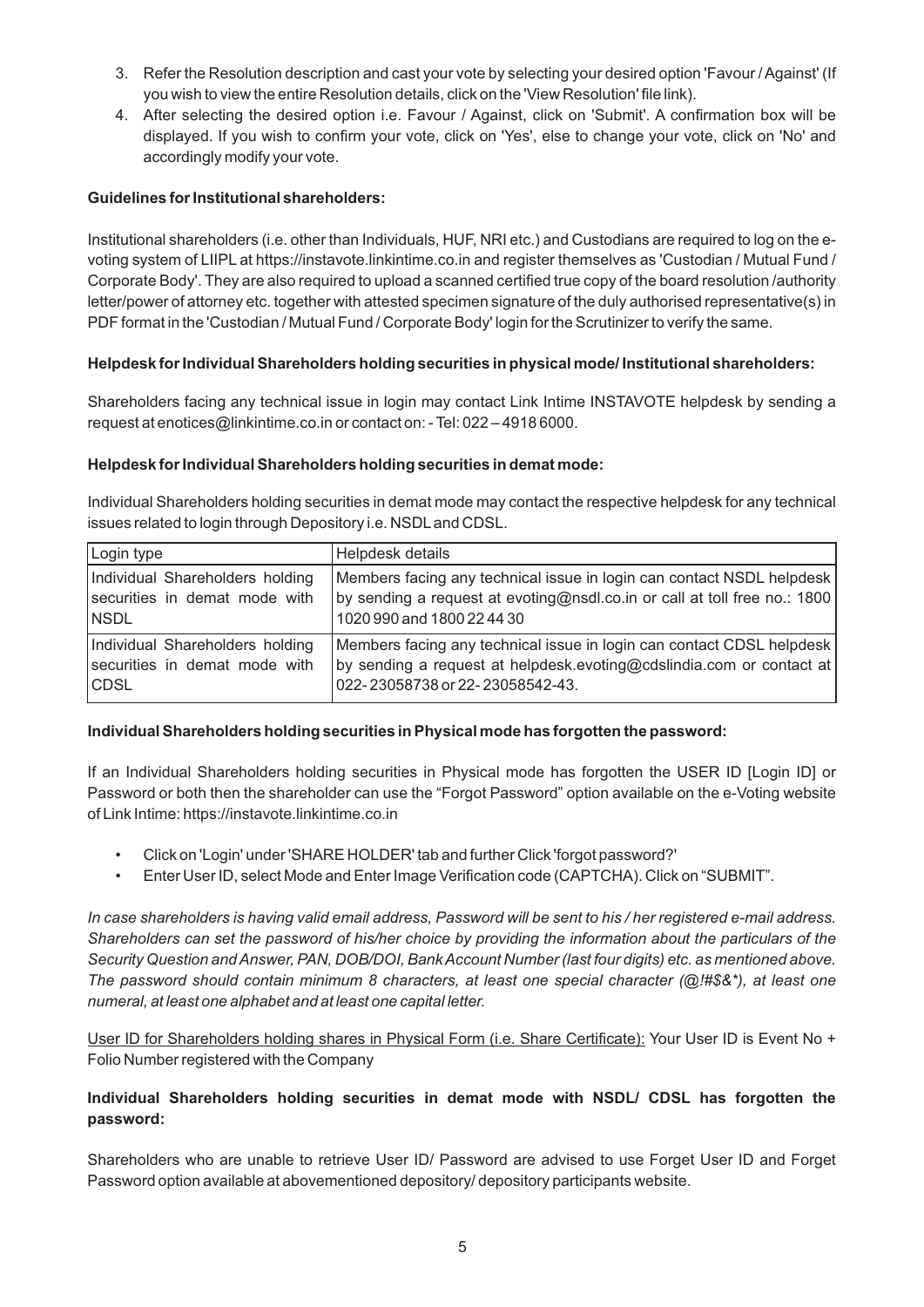- 3. Refer the Resolution description and cast your vote by selecting your desired option 'Favour / Against' (If you wish to view the entire Resolution details, click on the 'View Resolution' file link).
- 4. After selecting the desired option i.e. Favour / Against, click on 'Submit'. A confirmation box will be displayed. If you wish to confirm your vote, click on 'Yes', else to change your vote, click on 'No' and accordingly modify your vote.

#### **Guidelines for Institutional shareholders:**

Institutional shareholders (i.e. other than Individuals, HUF, NRI etc.) and Custodians are required to log on the evoting system of LIIPLat https://instavote.linkintime.co.in and register themselves as 'Custodian / Mutual Fund / Corporate Body'. They are also required to upload a scanned certified true copy of the board resolution /authority letter/power of attorney etc. together with attested specimen signature of the duly authorised representative(s) in PDF format in the 'Custodian / Mutual Fund / Corporate Body' login for the Scrutinizer to verify the same.

### **Helpdesk for Individual Shareholders holding securities in physical mode/ Institutional shareholders:**

Shareholders facing any technical issue in login may contact Link Intime INSTAVOTE helpdesk by sending a request at enotices@linkintime.co.in or contact on: - Tel: 022 – 4918 6000.

#### **Helpdesk for Individual Shareholders holding securities in demat mode:**

Individual Shareholders holding securities in demat mode may contact the respective helpdesk for any technical issues related to login through Depository i.e. NSDLand CDSL.

| Login type                      | Helpdesk details                                                          |
|---------------------------------|---------------------------------------------------------------------------|
| Individual Shareholders holding | Members facing any technical issue in login can contact NSDL helpdesk     |
| securities in demat mode with   | by sending a request at evoting@nsdl.co.in or call at toll free no.: 1800 |
| NSDL                            | 1020 990 and 1800 22 44 30                                                |
| Individual Shareholders holding | Members facing any technical issue in login can contact CDSL helpdesk     |
| securities in demat mode with   | by sending a request at helpdesk.evoting@cdslindia.com or contact at      |
| CDSL                            | 022-23058738 or 22-23058542-43.                                           |

#### **Individual Shareholders holding securities in Physical mode has forgotten the password:**

If an Individual Shareholders holding securities in Physical mode has forgotten the USER ID [Login ID] or Password or both then the shareholder can use the "Forgot Password" option available on the e-Voting website of Link Intime: https://instavote.linkintime.co.in

- Click on 'Login' under 'SHARE HOLDER' tab and further Click 'forgot password?'
- Enter User ID, select Mode and Enter Image Verification code (CAPTCHA). Click on "SUBMIT".

*In case shareholders is having valid email address, Password will be sent to his / her registered e-mail address. Shareholders can set the password of his/her choice by providing the information about the particulars of the Security Question and Answer, PAN, DOB/DOI, Bank Account Number (last four digits) etc. as mentioned above. The password should contain minimum 8 characters, at least one special character (@!#\$&\*), at least one numeral, at least one alphabet and at least one capital letter.* 

User ID for Shareholders holding shares in Physical Form (i.e. Share Certificate): Your User ID is Event No + Folio Number registered with the Company

### **Individual Shareholders holding securities in demat mode with NSDL/ CDSL has forgotten the password:**

Shareholders who are unable to retrieve User ID/ Password are advised to use Forget User ID and Forget Password option available at abovementioned depository/ depository participants website.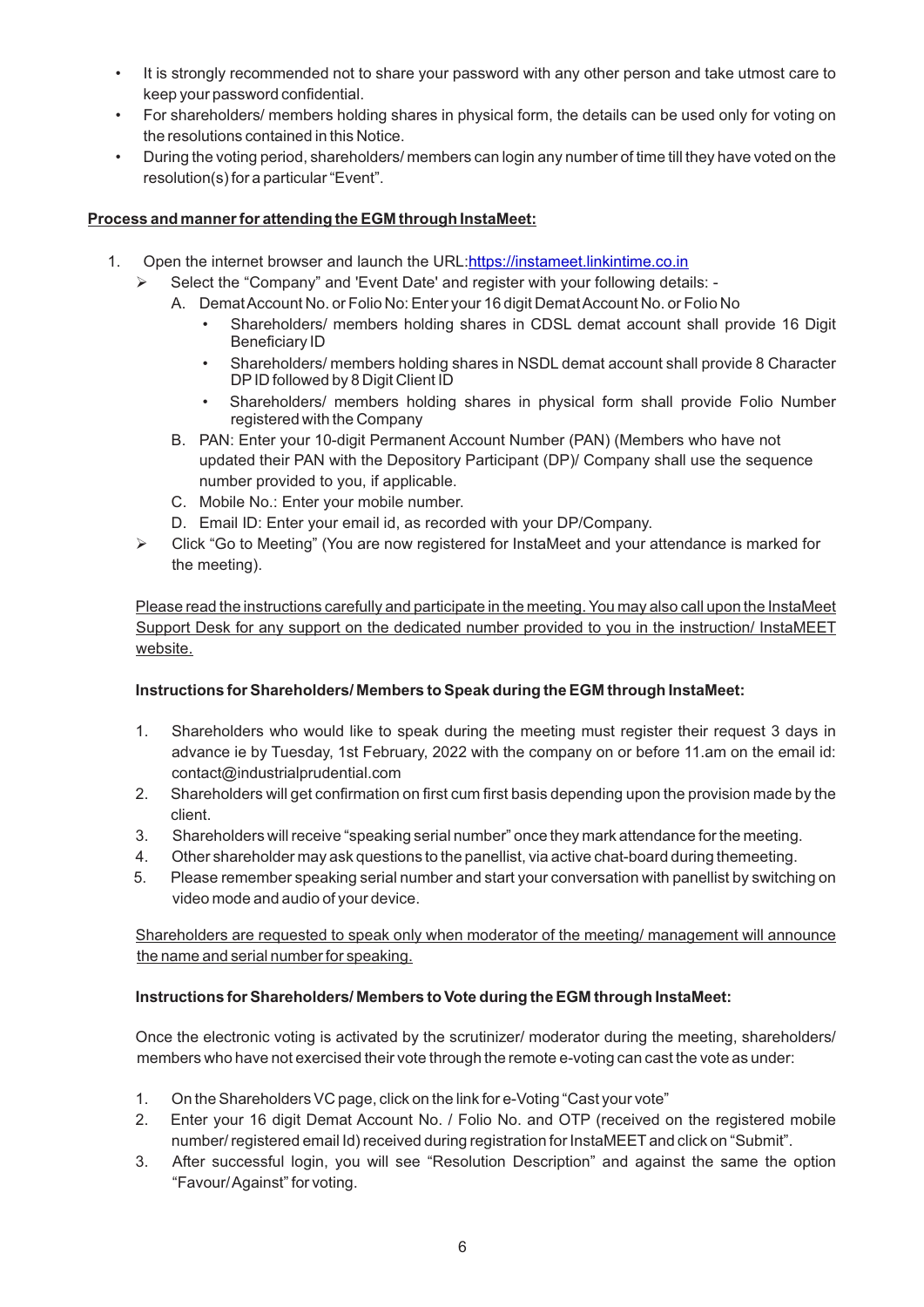- It is strongly recommended not to share your password with any other person and take utmost care to keep your password confidential.
- For shareholders/ members holding shares in physical form, the details can be used only for voting on the resolutions contained in this Notice.
- During the voting period, shareholders/ members can login any number of time till they have voted on the resolution(s) for a particular "Event".

#### **Process and manner for attending the EGM through InstaMeet:**

- 1. Open the internet browser and launch the URL:[https://instameet.linkintime.co.in](https://instameet.linkintime.co.in/)
	- $\triangleright$  Select the "Company" and 'Event Date' and register with your following details: -
		- A. Demat Account No. or Folio No: Enter your 16 digit Demat Account No. or Folio No
			- Shareholders/ members holding shares in CDSL demat account shall provide 16 Digit Beneficiary ID
			- Shareholders/ members holding shares in NSDL demat account shall provide 8 Character DPID followed by 8 Digit Client ID
			- Shareholders/ members holding shares in physical form shall provide Folio Number registered with the Company
		- B. PAN: Enter your 10-digit Permanent Account Number (PAN) (Members who have not updated their PAN with the Depository Participant (DP)/ Company shall use the sequence number provided to you, if applicable.
		- C. Mobile No.: Enter your mobile number.
		- D. Email ID: Enter your email id, as recorded with your DP/Company.
	- $\triangleright$  Click "Go to Meeting" (You are now registered for InstaMeet and your attendance is marked for the meeting).

Please read the instructions carefully and participate in the meeting. You may also call upon the InstaMeet Support Desk for any support on the dedicated number provided to you in the instruction/ InstaMEET website.

#### **Instructions for Shareholders/ Members to Speak during the EGM through InstaMeet:**

- 1. Shareholders who would like to speak during the meeting must register their request 3 days in advance ie by Tuesday, 1st February, 2022 with the company on or before 11.am on the email id: contact@industrialprudential.com
- 2. Shareholders will get confirmation on first cum first basis depending upon the provision made by the client.
- 3. Shareholders will receive "speaking serial number" once they mark attendance for the meeting.
- 4. Other shareholder may ask questions to the panellist, via active chat-board during themeeting.
- 5. Please remember speaking serial number and start your conversation with panellist by switching on video mode and audio of your device.

Shareholders are requested to speak only when moderator of the meeting/ management will announce the name and serial number for speaking.

#### **Instructions for Shareholders/ Members to Vote during the EGM through InstaMeet:**

Once the electronic voting is activated by the scrutinizer/ moderator during the meeting, shareholders/ members who have not exercised their vote through the remote e-voting can cast the vote as under:

- 1. On the Shareholders VC page, click on the link for e-Voting "Cast your vote"
- 2. Enter your 16 digit Demat Account No. / Folio No. and OTP (received on the registered mobile number/ registered email Id) received during registration for InstaMEET and click on "Submit".
- 3. After successful login, you will see "Resolution Description" and against the same the option "Favour/ Against" for voting.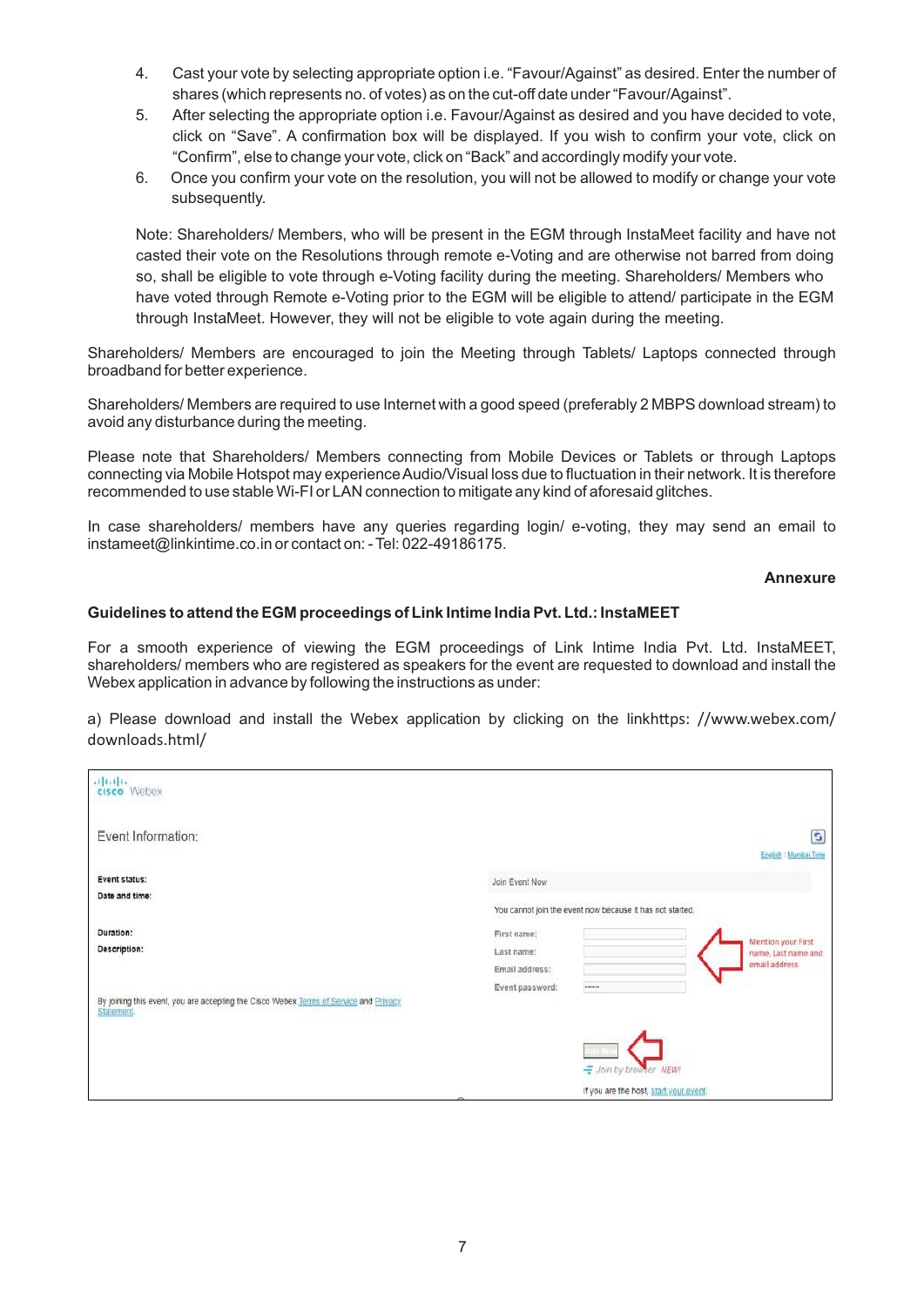- 4. Cast your vote by selecting appropriate option i.e. "Favour/Against" as desired. Enter the number of shares (which represents no. of votes) as on the cut-off date under "Favour/Against".
- 5. After selecting the appropriate option i.e. Favour/Against as desired and you have decided to vote, click on "Save". A confirmation box will be displayed. If you wish to confirm your vote, click on "Confirm", else to change your vote, click on "Back" and accordingly modify your vote.
- 6. Once you confirm your vote on the resolution, you will not be allowed to modify or change your vote subsequently.

Note: Shareholders/ Members, who will be present in the EGM through InstaMeet facility and have not casted their vote on the Resolutions through remote e-Voting and are otherwise not barred from doing so, shall be eligible to vote through e-Voting facility during the meeting. Shareholders/ Members who have voted through Remote e-Voting prior to the EGM will be eligible to attend/ participate in the EGM through InstaMeet. However, they will not be eligible to vote again during the meeting.

Shareholders/ Members are encouraged to join the Meeting through Tablets/ Laptops connected through broadband for better experience.

Shareholders/ Members are required to use Internet with a good speed (preferably 2 MBPS download stream) to avoid any disturbance during the meeting.

Please note that Shareholders/ Members connecting from Mobile Devices or Tablets or through Laptops connecting via Mobile Hotspot may experience Audio/Visual loss due to fluctuation in their network. It is therefore recommended to use stable Wi-FI or LAN connection to mitigate any kind of aforesaid glitches.

In case shareholders/ members have any queries regarding login/ e-voting, they may send an email to instameet@linkintime.co.in or contact on: - Tel: 022-49186175.

**Annexure**

#### **Guidelines to attend the EGM proceedings of Link Intime India Pvt. Ltd.: InstaMEET**

For a smooth experience of viewing the EGM proceedings of Link Intime India Pvt. Ltd. InstaMEET, shareholders/ members who are registered as speakers for the event are requested to download and install the Webex application in advance by following the instructions as under:

a) Please download and install the Webex application by clicking on the linkhttps: //www.webex.com/ downloads.html/

| aftalı.<br><b>cisco</b> Webex                                                                             |                                                                                                       |    |
|-----------------------------------------------------------------------------------------------------------|-------------------------------------------------------------------------------------------------------|----|
| Event Information:                                                                                        | English : Mumbai Time                                                                                 | G, |
| Event status:<br>Date and time:                                                                           | Join Event Now                                                                                        |    |
| Duration:                                                                                                 | You cannot join the event now because it has not started.<br>First name:<br><b>Mention your First</b> |    |
| Description:                                                                                              | Last name:<br>name, Last name and<br>email address<br>Email address:                                  |    |
| By joining this event, you are accepting the Cisco Webex Terms of Service and Privacy<br><b>Statement</b> | Event password:<br>,,,,,,<br>--                                                                       |    |
|                                                                                                           |                                                                                                       |    |
|                                                                                                           | Join by browser NEW!<br>If you are the host, start your event.                                        |    |